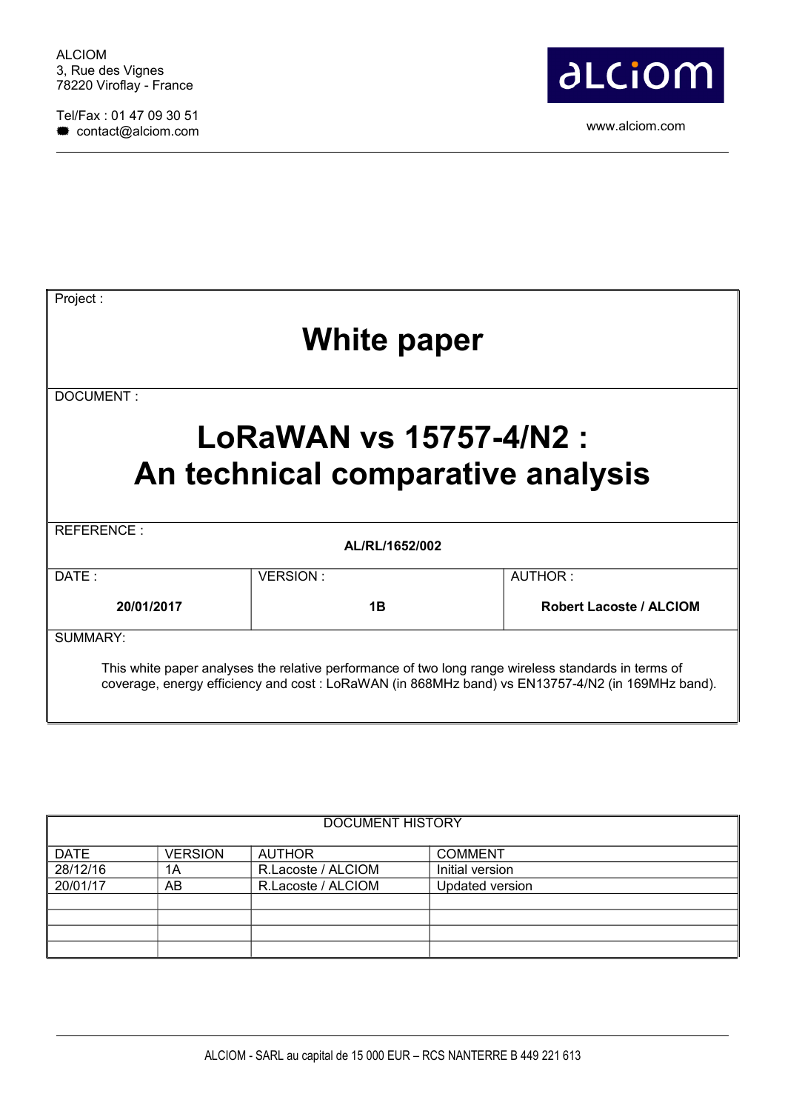Tel/Fax : 01 47 09 30 51 contact of 47 ° contact of 50 ° contact of 50 ° contact of 50 ° contact of 50 ° contact of 50 ° contact of 50 ° contact of 50 ° contact of 50 ° contact of 50 ° contact of 50 ° contact of 50 ° contact of 50 ° contact of 50



| Project:    |                                                              |                                |  |  |  |
|-------------|--------------------------------------------------------------|--------------------------------|--|--|--|
| White paper |                                                              |                                |  |  |  |
| DOCUMENT:   |                                                              |                                |  |  |  |
|             | LoRaWAN vs 15757-4/N2 :<br>An technical comparative analysis |                                |  |  |  |
| REFERENCE:  | AL/RL/1652/002                                               |                                |  |  |  |
|             | VERSION:                                                     | AUTHOR:                        |  |  |  |
| DATE:       |                                                              |                                |  |  |  |
| 20/01/2017  | 1B                                                           | <b>Robert Lacoste / ALCIOM</b> |  |  |  |
| SUMMARY:    |                                                              |                                |  |  |  |

| DOCUMENT HISTORY |                |                    |                 |  |  |  |
|------------------|----------------|--------------------|-----------------|--|--|--|
| <b>DATE</b>      | <b>VERSION</b> | <b>AUTHOR</b>      | <b>COMMENT</b>  |  |  |  |
| 28/12/16         | 1A             | R.Lacoste / ALCIOM | Initial version |  |  |  |
| 20/01/17         | AB             | R.Lacoste / ALCIOM | Updated version |  |  |  |
|                  |                |                    |                 |  |  |  |
|                  |                |                    |                 |  |  |  |
|                  |                |                    |                 |  |  |  |
|                  |                |                    |                 |  |  |  |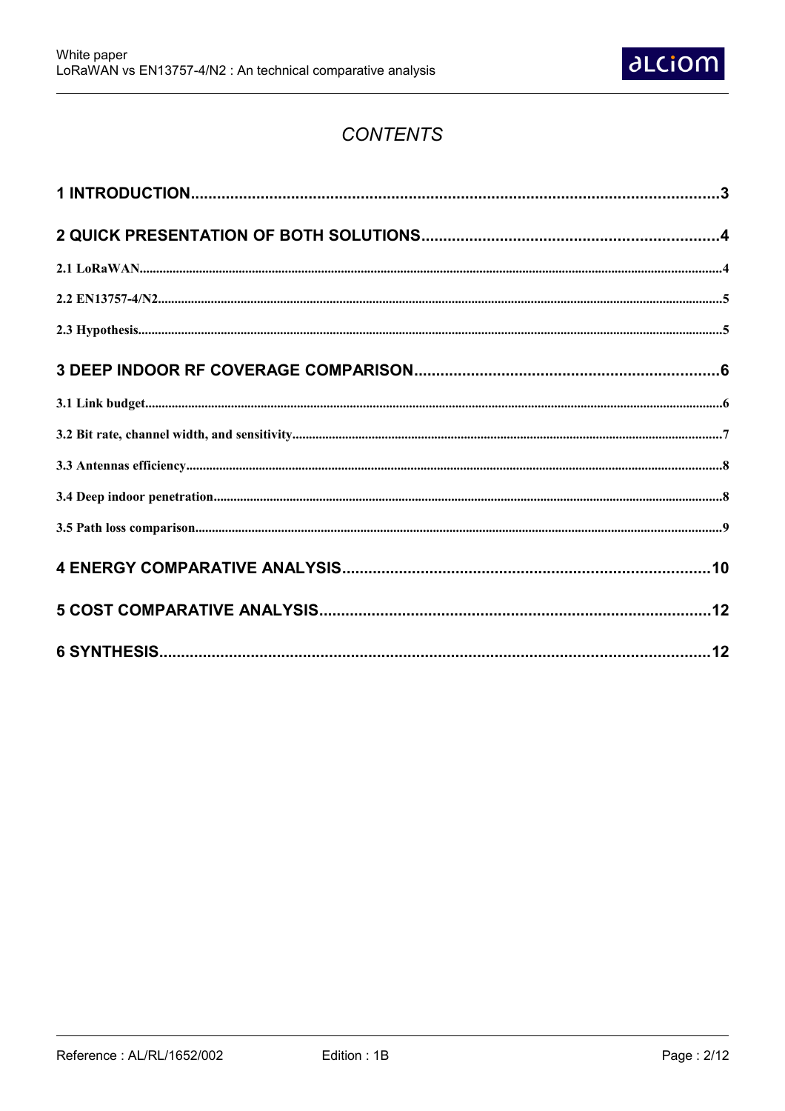

## **CONTENTS**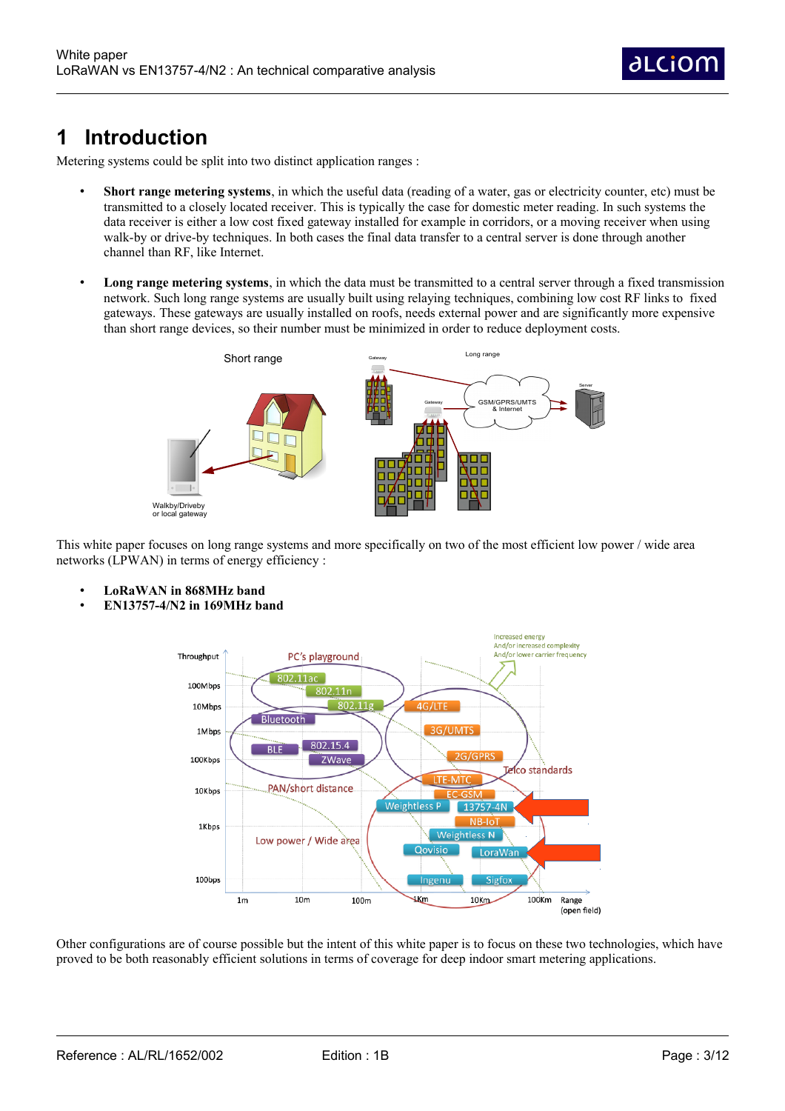dLCiOr

## **1 Introduction**

Metering systems could be split into two distinct application ranges :

- **Short range metering systems**, in which the useful data (reading of a water, gas or electricity counter, etc) must be transmitted to a closely located receiver. This is typically the case for domestic meter reading. In such systems the data receiver is either a low cost fixed gateway installed for example in corridors, or a moving receiver when using walk-by or drive-by techniques. In both cases the final data transfer to a central server is done through another channel than RF, like Internet.
- **Long range metering systems**, in which the data must be transmitted to a central server through a fixed transmission network. Such long range systems are usually built using relaying techniques, combining low cost RF links to fixed gateways. These gateways are usually installed on roofs, needs external power and are significantly more expensive than short range devices, so their number must be minimized in order to reduce deployment costs.



This white paper focuses on long range systems and more specifically on two of the most efficient low power / wide area networks (LPWAN) in terms of energy efficiency :

- **LoRaWAN in 868MHz band**
- **EN13757-4/N2 in 169MHz band**



Other configurations are of course possible but the intent of this white paper is to focus on these two technologies, which have proved to be both reasonably efficient solutions in terms of coverage for deep indoor smart metering applications.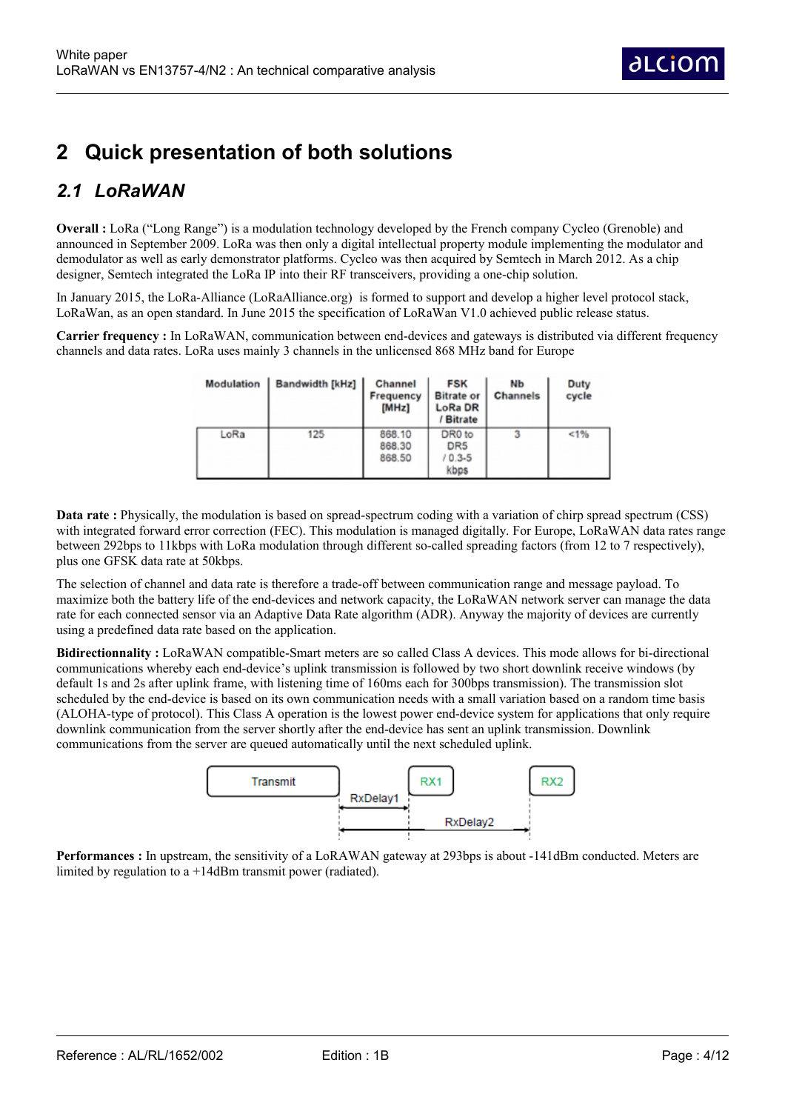# **2 Quick presentation of both solutions**

## *2.1 LoRaWAN*

**Overall :** LoRa ("Long Range") is a modulation technology developed by the French company Cycleo (Grenoble) and announced in September 2009. LoRa was then only a digital intellectual property module implementing the modulator and demodulator as well as early demonstrator platforms. Cycleo was then acquired by Semtech in March 2012. As a chip designer, Semtech integrated the LoRa IP into their RF transceivers, providing a one-chip solution.

In January 2015, the LoRa-Alliance (LoRaAlliance.org) is formed to support and develop a higher level protocol stack, LoRaWan, as an open standard. In June 2015 the specification of LoRaWan V1.0 achieved public release status.

**Carrier frequency :** In LoRaWAN, communication between end-devices and gateways is distributed via different frequency channels and data rates. LoRa uses mainly 3 channels in the unlicensed 868 MHz band for Europe

| Modulation | Bandwidth [kHz] | Channel<br>Frequency<br>[MHz] | <b>FSK</b><br><b>Bitrate or</b><br>LoRa DR<br>/ Bitrate     | NЬ<br><b>Channels</b> | Duty<br>cycle |
|------------|-----------------|-------------------------------|-------------------------------------------------------------|-----------------------|---------------|
| LoRa       | 125             | 868.10<br>868.30<br>868.50    | DR <sub>0</sub> to<br>DR <sub>5</sub><br>$10.3 - 5$<br>kbps | 3                     | 1%            |

**Data rate** : Physically, the modulation is based on spread-spectrum coding with a variation of chirp spread spectrum (CSS) with integrated forward error correction (FEC). This modulation is managed digitally. For Europe, LoRaWAN data rates range between 292bps to 11kbps with LoRa modulation through different so-called spreading factors (from 12 to 7 respectively), plus one GFSK data rate at 50kbps.

The selection of channel and data rate is therefore a trade-off between communication range and message payload. To maximize both the battery life of the end-devices and network capacity, the LoRaWAN network server can manage the data rate for each connected sensor via an Adaptive Data Rate algorithm (ADR). Anyway the majority of devices are currently using a predefined data rate based on the application.

**Bidirectionnality :** LoRaWAN compatible-Smart meters are so called Class A devices. This mode allows for bi-directional communications whereby each end-device's uplink transmission is followed by two short downlink receive windows (by default 1s and 2s after uplink frame, with listening time of 160ms each for 300bps transmission). The transmission slot scheduled by the end-device is based on its own communication needs with a small variation based on a random time basis (ALOHA-type of protocol). This Class A operation is the lowest power end-device system for applications that only require downlink communication from the server shortly after the end-device has sent an uplink transmission. Downlink communications from the server are queued automatically until the next scheduled uplink.



**Performances** : In upstream, the sensitivity of a LoRAWAN gateway at 293bps is about -141dBm conducted. Meters are limited by regulation to a +14dBm transmit power (radiated).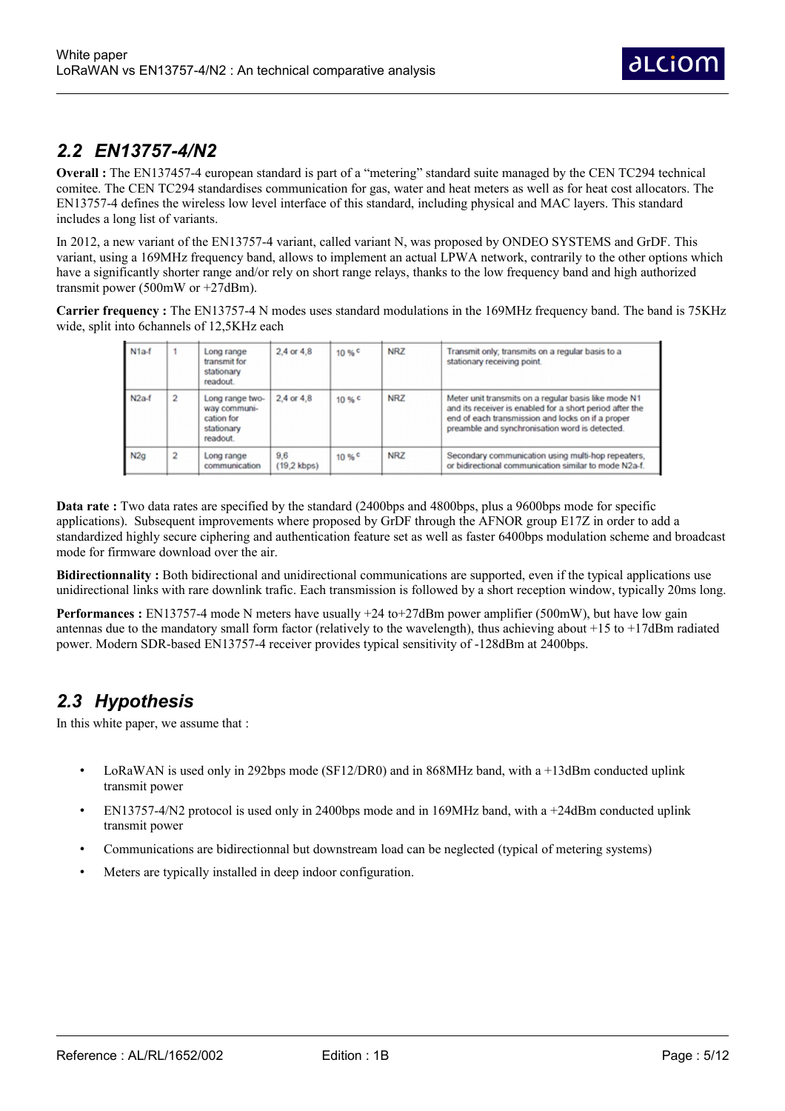#### *2.2 EN13757-4/N2*

**Overall :** The EN137457-4 european standard is part of a "metering" standard suite managed by the CEN TC294 technical comitee. The CEN TC294 standardises communication for gas, water and heat meters as well as for heat cost allocators. The EN13757-4 defines the wireless low level interface of this standard, including physical and MAC layers. This standard includes a long list of variants.

In 2012, a new variant of the EN13757-4 variant, called variant N, was proposed by ONDEO SYSTEMS and GrDF. This variant, using a 169MHz frequency band, allows to implement an actual LPWA network, contrarily to the other options which have a significantly shorter range and/or rely on short range relays, thanks to the low frequency band and high authorized transmit power (500mW or +27dBm).

**Carrier frequency :** The EN13757-4 N modes uses standard modulations in the 169MHz frequency band. The band is 75KHz wide, split into 6channels of 12,5KHz each

| $N1a-f$ |                | Long range<br>transmit for<br>stationary<br>readout.                    | $2.4$ or $4.8$               | 10% | <b>NRZ</b> | Transmit only; transmits on a regular basis to a<br>stationary receiving point.                                                                                                                                         |
|---------|----------------|-------------------------------------------------------------------------|------------------------------|-----|------------|-------------------------------------------------------------------------------------------------------------------------------------------------------------------------------------------------------------------------|
| $N2a-f$ | $\overline{2}$ | Long range two-<br>way communi-<br>cation for<br>stationary<br>readout. | $2.4$ or $4.8$               | 10% | <b>NRZ</b> | Meter unit transmits on a regular basis like mode N1<br>and its receiver is enabled for a short period after the<br>end of each transmission and locks on if a proper<br>preamble and synchronisation word is detected. |
| N2q     | $\overline{2}$ | Long range<br>communication                                             | 9,6<br>$(19.2 \text{ kbps})$ | 10% | <b>NRZ</b> | Secondary communication using multi-hop repeaters.<br>or bidirectional communication similar to mode N2a-f.                                                                                                             |

**Data rate** : Two data rates are specified by the standard (2400bps and 4800bps, plus a 9600bps mode for specific applications). Subsequent improvements where proposed by GrDF through the AFNOR group E17Z in order to add a standardized highly secure ciphering and authentication feature set as well as faster 6400bps modulation scheme and broadcast mode for firmware download over the air.

**Bidirectionnality** : Both bidirectional and unidirectional communications are supported, even if the typical applications use unidirectional links with rare downlink trafic. Each transmission is followed by a short reception window, typically 20ms long.

**Performances** : EN13757-4 mode N meters have usually +24 to+27dBm power amplifier (500mW), but have low gain antennas due to the mandatory small form factor (relatively to the wavelength), thus achieving about  $+15$  to  $+17$ dBm radiated power. Modern SDR-based EN13757-4 receiver provides typical sensitivity of -128dBm at 2400bps.

### *2.3 Hypothesis*

In this white paper, we assume that :

- LoRaWAN is used only in 292bps mode (SF12/DR0) and in 868MHz band, with a +13dBm conducted uplink transmit power
- EN13757-4/N2 protocol is used only in 2400bps mode and in 169MHz band, with a +24dBm conducted uplink transmit power
- Communications are bidirectionnal but downstream load can be neglected (typical of metering systems)
- Meters are typically installed in deep indoor configuration.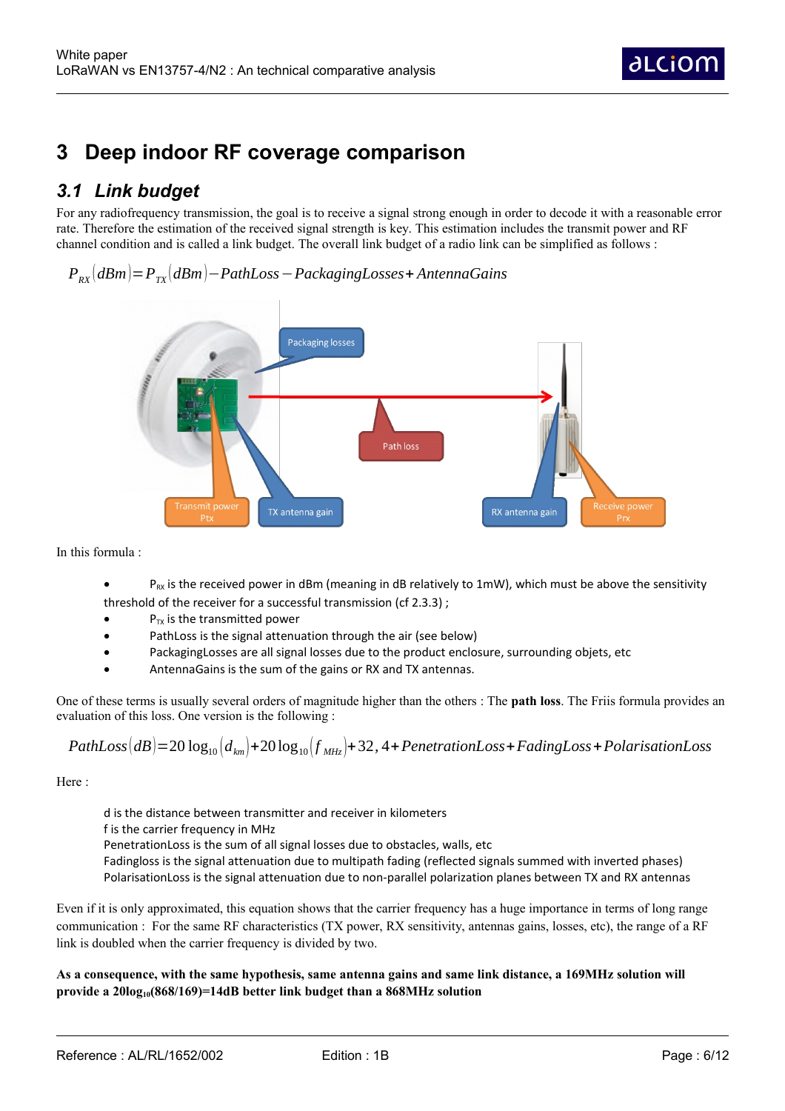## **3 Deep indoor RF coverage comparison**

### *3.1 Link budget*

For any radiofrequency transmission, the goal is to receive a signal strong enough in order to decode it with a reasonable error rate. Therefore the estimation of the received signal strength is key. This estimation includes the transmit power and RF channel condition and is called a link budget. The overall link budget of a radio link can be simplified as follows :

*PRX* (*dBm*)=*PTX* (*dBm*)−*PathLoss*−*PackagingLosses*+ *AntennaGains*



In this formula :

- $P_{RX}$  is the received power in dBm (meaning in dB relatively to 1mW), which must be above the sensitivity threshold of the receiver for a successful transmission (cf 2.3.3) ;
- $\bullet$  P<sub>TX</sub> is the transmitted power
- PathLoss is the signal attenuation through the air (see below)
- PackagingLosses are all signal losses due to the product enclosure, surrounding objets, etc
- AntennaGains is the sum of the gains or RX and TX antennas.

One of these terms is usually several orders of magnitude higher than the others : The **path loss**. The Friis formula provides an evaluation of this loss. One version is the following :

PathLoss
$$
(dB)
$$
 = 20 log<sub>10</sub> $\left(d_{km}\right)$  + 20 log<sub>10</sub> $\left(f_{MHz}\right)$  + 32, 4 + P*enetrationLoss* + FadingLoss + PolarisationLoss

Here :

d is the distance between transmitter and receiver in kilometers f is the carrier frequency in MHz PenetrationLoss is the sum of all signal losses due to obstacles, walls, etc Fadingloss is the signal attenuation due to multipath fading (reflected signals summed with inverted phases) PolarisationLoss is the signal attenuation due to non-parallel polarization planes between TX and RX antennas

Even if it is only approximated, this equation shows that the carrier frequency has a huge importance in terms of long range communication : For the same RF characteristics (TX power, RX sensitivity, antennas gains, losses, etc), the range of a RF link is doubled when the carrier frequency is divided by two.

#### **As a consequence, with the same hypothesis, same antenna gains and same link distance, a 169MHz solution will provide a 20log10(868/169)=14dB better link budget than a 868MHz solution**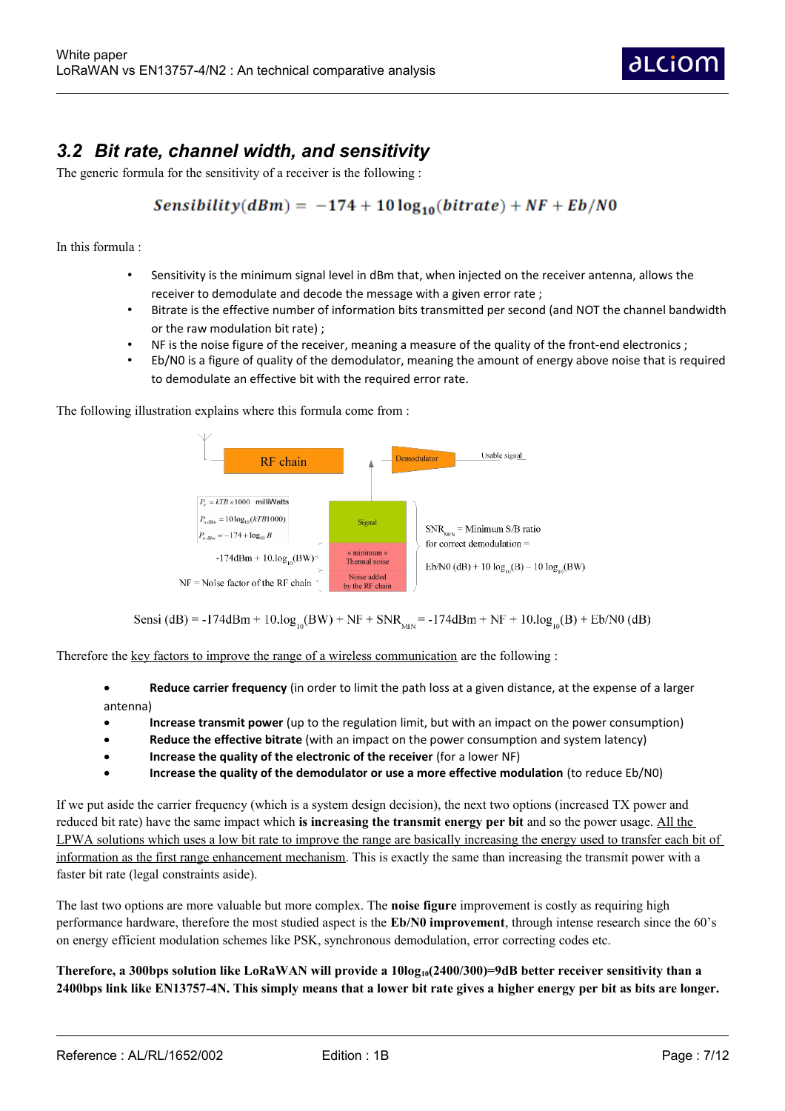### *3.2 Bit rate, channel width, and sensitivity*

The generic formula for the sensitivity of a receiver is the following :

#### Sensibility( $dBm$ ) = -174 + 10  $log_{10}(bitrate)$  + NF + Eb/N0

In this formula :

- Sensitivity is the minimum signal level in dBm that, when injected on the receiver antenna, allows the receiver to demodulate and decode the message with a given error rate ;
- Bitrate is the effective number of information bits transmitted per second (and NOT the channel bandwidth or the raw modulation bit rate) ;
- NF is the noise figure of the receiver, meaning a measure of the quality of the front-end electronics ;
- Eb/N0 is a figure of quality of the demodulator, meaning the amount of energy above noise that is required to demodulate an effective bit with the required error rate.

The following illustration explains where this formula come from :



Sensi (dB) = -174dBm + 10.log<sub>10</sub>(BW) + NF + SNR<sub>MN</sub> = -174dBm + NF + 10.log<sub>10</sub>(B) + Eb/N0 (dB)

Therefore the key factors to improve the range of a wireless communication are the following :

- **Reduce carrier frequency** (in order to limit the path loss at a given distance, at the expense of a larger antenna)
- **Increase transmit power** (up to the regulation limit, but with an impact on the power consumption)
- **Reduce the effective bitrate** (with an impact on the power consumption and system latency)
- **Increase the quality of the electronic of the receiver** (for a lower NF)
- **Increase the quality of the demodulator or use a more effective modulation** (to reduce Eb/N0)

If we put aside the carrier frequency (which is a system design decision), the next two options (increased TX power and reduced bit rate) have the same impact which **is increasing the transmit energy per bit** and so the power usage. All the LPWA solutions which uses a low bit rate to improve the range are basically increasing the energy used to transfer each bit of information as the first range enhancement mechanism. This is exactly the same than increasing the transmit power with a faster bit rate (legal constraints aside).

The last two options are more valuable but more complex. The **noise figure** improvement is costly as requiring high performance hardware, therefore the most studied aspect is the **Eb/N0 improvement**, through intense research since the 60's on energy efficient modulation schemes like PSK, synchronous demodulation, error correcting codes etc.

**Therefore, a 300bps solution like LoRaWAN will provide a 10log10(2400/300)=9dB better receiver sensitivity than a 2400bps link like EN13757-4N. This simply means that a lower bit rate gives a higher energy per bit as bits are longer.**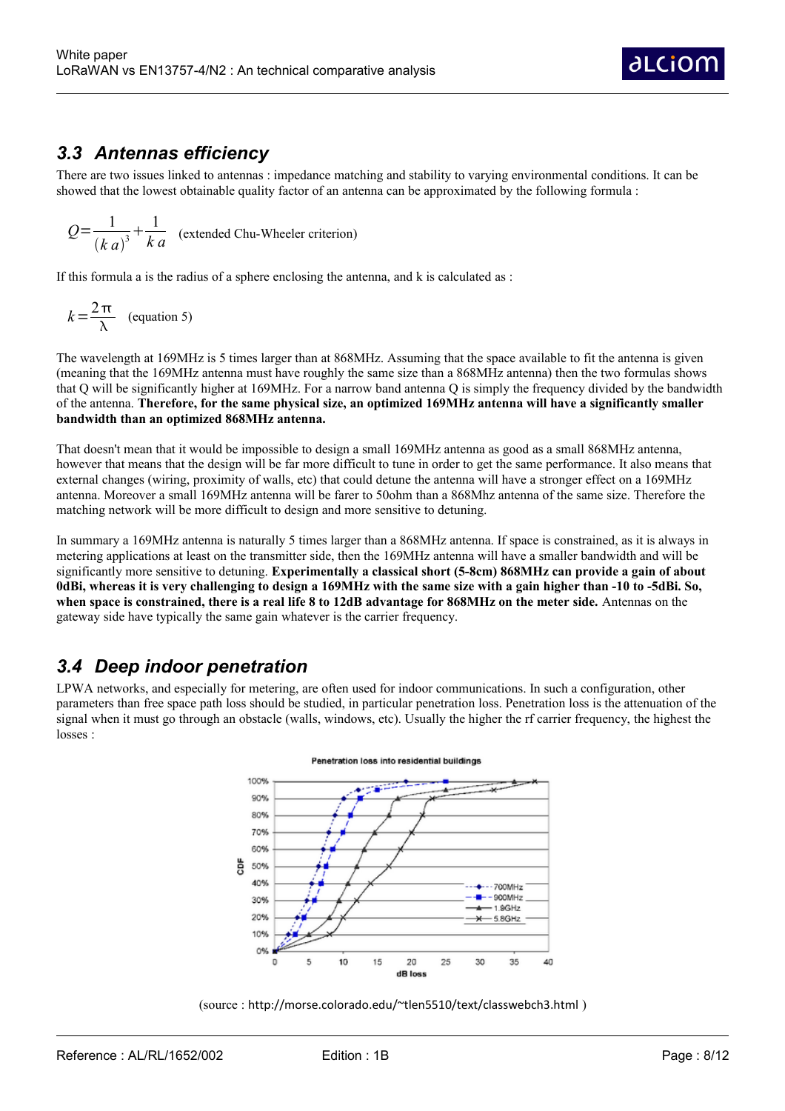#### *3.3 Antennas efficiency*

There are two issues linked to antennas : impedance matching and stability to varying environmental conditions. It can be showed that the lowest obtainable quality factor of an antenna can be approximated by the following formula :

$$
Q = \frac{1}{(k a)^3} + \frac{1}{k a}
$$
 (extended Chu-Wheeler criterion)

If this formula a is the radius of a sphere enclosing the antenna, and k is calculated as :

$$
k = \frac{2\pi}{\lambda} \quad \text{(equation 5)}
$$

The wavelength at 169MHz is 5 times larger than at 868MHz. Assuming that the space available to fit the antenna is given (meaning that the 169MHz antenna must have roughly the same size than a 868MHz antenna) then the two formulas shows that Q will be significantly higher at 169MHz. For a narrow band antenna Q is simply the frequency divided by the bandwidth of the antenna. **Therefore, for the same physical size, an optimized 169MHz antenna will have a significantly smaller bandwidth than an optimized 868MHz antenna.** 

That doesn't mean that it would be impossible to design a small 169MHz antenna as good as a small 868MHz antenna, however that means that the design will be far more difficult to tune in order to get the same performance. It also means that external changes (wiring, proximity of walls, etc) that could detune the antenna will have a stronger effect on a 169MHz antenna. Moreover a small 169MHz antenna will be farer to 50ohm than a 868Mhz antenna of the same size. Therefore the matching network will be more difficult to design and more sensitive to detuning.

In summary a 169MHz antenna is naturally 5 times larger than a 868MHz antenna. If space is constrained, as it is always in metering applications at least on the transmitter side, then the 169MHz antenna will have a smaller bandwidth and will be significantly more sensitive to detuning. **Experimentally a classical short (5-8cm) 868MHz can provide a gain of about 0dBi, whereas it is very challenging to design a 169MHz with the same size with a gain higher than -10 to -5dBi. So, when space is constrained, there is a real life 8 to 12dB advantage for 868MHz on the meter side.** Antennas on the gateway side have typically the same gain whatever is the carrier frequency.

### *3.4 Deep indoor penetration*

LPWA networks, and especially for metering, are often used for indoor communications. In such a configuration, other parameters than free space path loss should be studied, in particular penetration loss. Penetration loss is the attenuation of the signal when it must go through an obstacle (walls, windows, etc). Usually the higher the rf carrier frequency, the highest the losses :





(source : http://morse.colorado.edu/~tlen5510/text/classwebch3.html )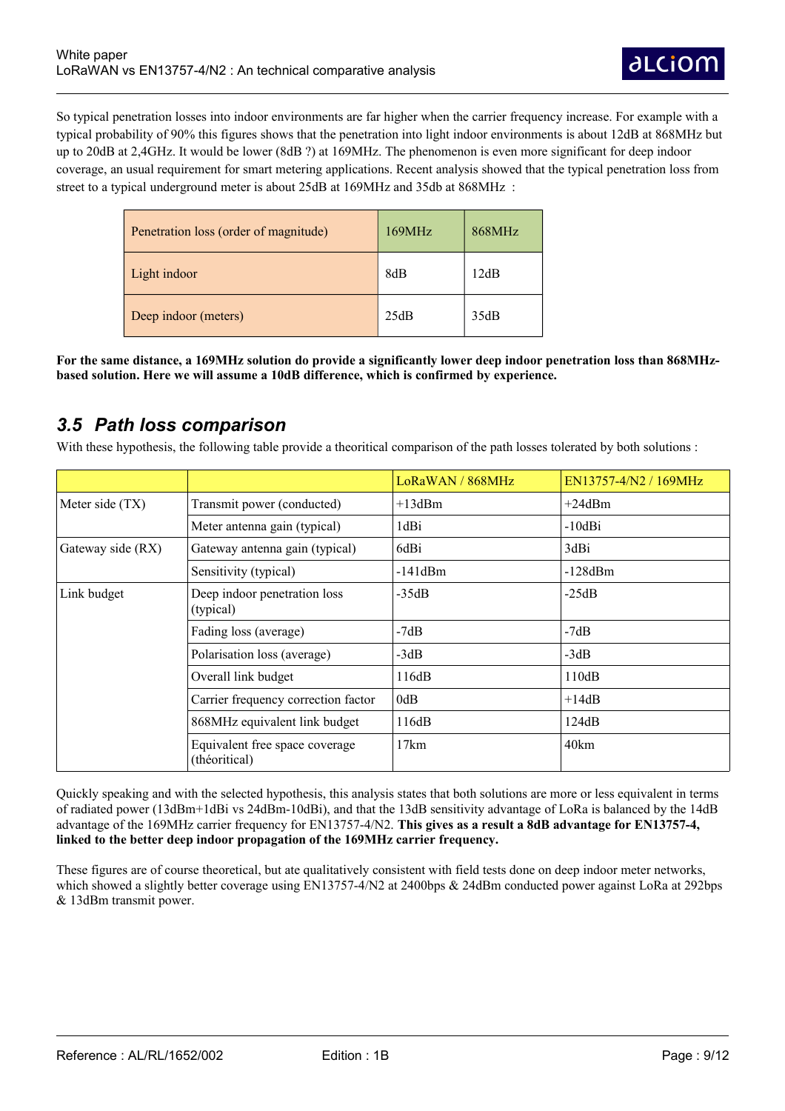So typical penetration losses into indoor environments are far higher when the carrier frequency increase. For example with a typical probability of 90% this figures shows that the penetration into light indoor environments is about 12dB at 868MHz but up to 20dB at 2,4GHz. It would be lower (8dB ?) at 169MHz. The phenomenon is even more significant for deep indoor coverage, an usual requirement for smart metering applications. Recent analysis showed that the typical penetration loss from street to a typical underground meter is about 25dB at 169MHz and 35db at 868MHz :

| Penetration loss (order of magnitude) | 169MHz | 868MHz |
|---------------------------------------|--------|--------|
| Light indoor                          | 8dB    | 12dB   |
| Deep indoor (meters)                  | 25dB   | 35dB   |

**For the same distance, a 169MHz solution do provide a significantly lower deep indoor penetration loss than 868MHzbased solution. Here we will assume a 10dB difference, which is confirmed by experience.**

#### *3.5 Path loss comparison*

With these hypothesis, the following table provide a theoritical comparison of the path losses tolerated by both solutions :

|                   |                                                 | LoRaWAN / 868MHz | EN13757-4/N2 / 169MHz |
|-------------------|-------------------------------------------------|------------------|-----------------------|
| Meter side (TX)   | Transmit power (conducted)                      | $+13dBm$         | $+24$ dBm             |
|                   | Meter antenna gain (typical)                    | 1dBi             | $-10dB$ i             |
| Gateway side (RX) | Gateway antenna gain (typical)                  | 6dBi             | 3dBi                  |
|                   | Sensitivity (typical)                           | $-141dBm$        | $-128dBm$             |
| Link budget       | Deep indoor penetration loss<br>(typical)       | $-35dB$          | $-25dB$               |
|                   | Fading loss (average)                           | $-7dB$           | $-7dB$                |
|                   | Polarisation loss (average)                     | $-3dB$           | $-3dB$                |
|                   | Overall link budget                             | 116dB            | 110dB                 |
|                   | Carrier frequency correction factor             | 0dB              | $+14dB$               |
|                   | 868MHz equivalent link budget                   | 116dB            | 124dB                 |
|                   | Equivalent free space coverage<br>(théoritical) | 17km             | 40km                  |

Quickly speaking and with the selected hypothesis, this analysis states that both solutions are more or less equivalent in terms of radiated power (13dBm+1dBi vs 24dBm-10dBi), and that the 13dB sensitivity advantage of LoRa is balanced by the 14dB advantage of the 169MHz carrier frequency for EN13757-4/N2. **This gives as a result a 8dB advantage for EN13757-4, linked to the better deep indoor propagation of the 169MHz carrier frequency.**

These figures are of course theoretical, but ate qualitatively consistent with field tests done on deep indoor meter networks, which showed a slightly better coverage using EN13757-4/N2 at 2400bps & 24dBm conducted power against LoRa at 292bps & 13dBm transmit power.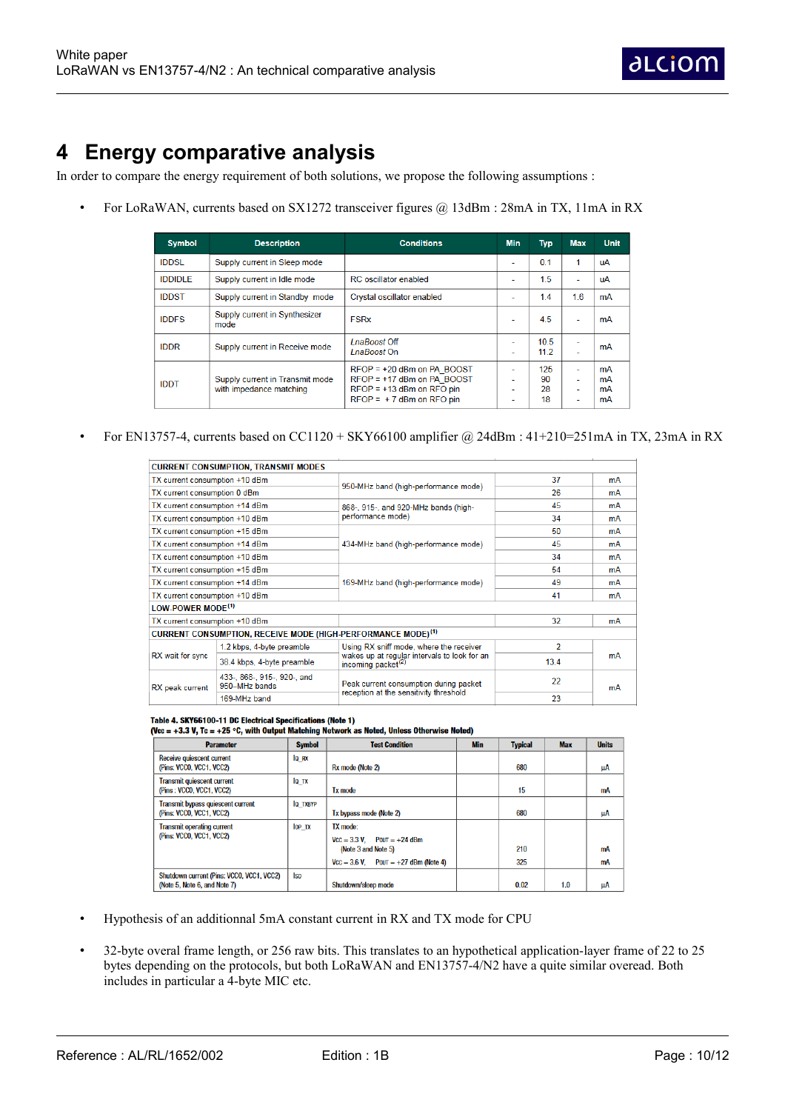## **4 Energy comparative analysis**

In order to compare the energy requirement of both solutions, we propose the following assumptions :

• For LoRaWAN, currents based on SX1272 transceiver figures @ 13dBm : 28mA in TX, 11mA in RX

| <b>Symbol</b>  | <b>Description</b>                                         | <b>Conditions</b>                                                                                                         | <b>Min</b>          | <b>Typ</b>            | <b>Max</b>                    | <b>Unit</b>          |
|----------------|------------------------------------------------------------|---------------------------------------------------------------------------------------------------------------------------|---------------------|-----------------------|-------------------------------|----------------------|
| <b>IDDSL</b>   | Supply current in Sleep mode                               |                                                                                                                           | ٠                   | 0.1                   | 1                             | uA                   |
| <b>IDDIDLE</b> | Supply current in Idle mode                                | <b>RC</b> oscillator enabled                                                                                              |                     | 1.5                   | ٠                             | uA                   |
| <b>IDDST</b>   | Supply current in Standby mode                             | Crystal oscillator enabled                                                                                                | ۰                   | 1.4                   | 16                            | mA                   |
| <b>IDDFS</b>   | Supply current in Synthesizer<br>mode                      | <b>FSRx</b>                                                                                                               | ۰                   | 4.5                   | ٠                             | mA                   |
| <b>IDDR</b>    | Supply current in Receive mode                             | LnaBoost Off<br><i>I</i> naBoost On                                                                                       | $\overline{a}$<br>- | 10.5<br>112           | ٠<br>$\overline{\phantom{a}}$ | mA                   |
| <b>IDDT</b>    | Supply current in Transmit mode<br>with impedance matching | $RFOP = +20$ dBm on PA BOOST<br>$RFOP = +17$ dBm on PA BOOST<br>$RFOP = +13$ dBm on RFO pin<br>$RFOP = +7$ dBm on RFO pin | ۰.<br>۰.<br>-<br>۰  | 125<br>90<br>28<br>18 | $\overline{a}$<br>٠<br>٠<br>٠ | mA<br>mA<br>mA<br>mA |

• For EN13757-4, currents based on CC1120 + SKY66100 amplifier @ 24dBm : 41+210=251mA in TX, 23mA in RX

|                                                                 | <b>CURRENT CONSUMPTION, TRANSMIT MODES</b>                               |                                                                                |      |    |  |
|-----------------------------------------------------------------|--------------------------------------------------------------------------|--------------------------------------------------------------------------------|------|----|--|
| TX current consumption +10 dBm                                  |                                                                          |                                                                                | 37   | mA |  |
| TX current consumption 0 dBm                                    |                                                                          | 950-MHz band (high-performance mode)                                           | 26   | mA |  |
| TX current consumption +14 dBm                                  |                                                                          | 868-, 915-, and 920-MHz bands (high-                                           | 45   | mA |  |
| TX current consumption +10 dBm                                  |                                                                          | performance mode)                                                              | 34   | mA |  |
| TX current consumption +15 dBm                                  |                                                                          |                                                                                | 50   | mA |  |
| TX current consumption +14 dBm                                  |                                                                          | 434-MHz band (high-performance mode)                                           | 45   | mA |  |
| TX current consumption +10 dBm                                  |                                                                          |                                                                                | 34   | mA |  |
| TX current consumption +15 dBm                                  |                                                                          | 169-MHz band (high-performance mode)                                           | 54   | mA |  |
| TX current consumption +14 dBm                                  |                                                                          |                                                                                | 49   | mA |  |
| TX current consumption +10 dBm                                  |                                                                          |                                                                                | 41   | mA |  |
| LOW-POWER MODE <sup>(1)</sup>                                   |                                                                          |                                                                                |      |    |  |
| TX current consumption +10 dBm                                  |                                                                          |                                                                                | 32   | mA |  |
|                                                                 | CURRENT CONSUMPTION, RECEIVE MODE (HIGH-PERFORMANCE MODE) <sup>(1)</sup> |                                                                                |      |    |  |
| 1.2 kbps, 4-byte preamble                                       |                                                                          | Using RX sniff mode, where the receiver                                        | 2    |    |  |
| RX wait for sync<br>38.4 kbps, 4-byte preamble                  |                                                                          | wakes up at regular intervals to look for an<br>incoming packet <sup>(2)</sup> | 13.4 | mA |  |
| 433-, 868-, 915-, 920-, and<br>950-MHz bands<br>RX peak current |                                                                          | Peak current consumption during packet                                         | 22   | mA |  |
| 169-MHz band                                                    |                                                                          | reception at the sensitivity threshold                                         | 23   |    |  |

Table 4. SKY66100-11 DC Electrical Specifications (Note 1)<br>(Vcc = +3.3 V, Tc = +25 °C, with Output Matching Network as Noted, Unless Otherwise Noted)

| <b>Parameter</b>                                                          | <b>Symbol</b>   | <b>Test Condition</b>                                               | <b>Min</b> | <b>Typical</b> | <b>Max</b> | <b>Units</b> |
|---------------------------------------------------------------------------|-----------------|---------------------------------------------------------------------|------------|----------------|------------|--------------|
| <b>Receive quiescent current</b><br>(Pins: VCCO, VCC1, VCC2)              | lo RX           | Rx mode (Note 2)                                                    |            | 680            |            | μA           |
| <b>Transmit quiescent current</b><br>(Pins: VCCO, VCC1, VCC2)             | IQ TX           | <b>Tx mode</b>                                                      |            | 15             |            | mA           |
| <b>Transmit bypass quiescent current</b><br>(Pins: VCCO, VCC1, VCC2)      | <b>IQ TXBYP</b> | Tx bypass mode (Note 2)                                             |            | 680            |            | μA           |
| <b>Transmit operating current</b><br>(Pins: VCCO, VCC1, VCC2)             | <b>IOP TX</b>   | TX mode:<br>$Vcc = 3.3 V$ , $POUT = +24$ dBm<br>(Note 3 and Note 5) |            | 210            |            | mA           |
|                                                                           |                 | $Vcc = 3.6 V$ . Pout = $+27$ dBm (Note 4)                           |            | 325            |            | mA           |
| Shutdown current (Pins: VCCO, VCC1, VCC2)<br>(Note 5, Note 6, and Note 7) | <b>Isp</b>      | Shutdown/sleep mode                                                 |            | 0.02           | 1.0        | μA           |

- Hypothesis of an additionnal 5mA constant current in RX and TX mode for CPU
- 32-byte overal frame length, or 256 raw bits. This translates to an hypothetical application-layer frame of 22 to 25 bytes depending on the protocols, but both LoRaWAN and EN13757-4/N2 have a quite similar overead. Both includes in particular a 4-byte MIC etc.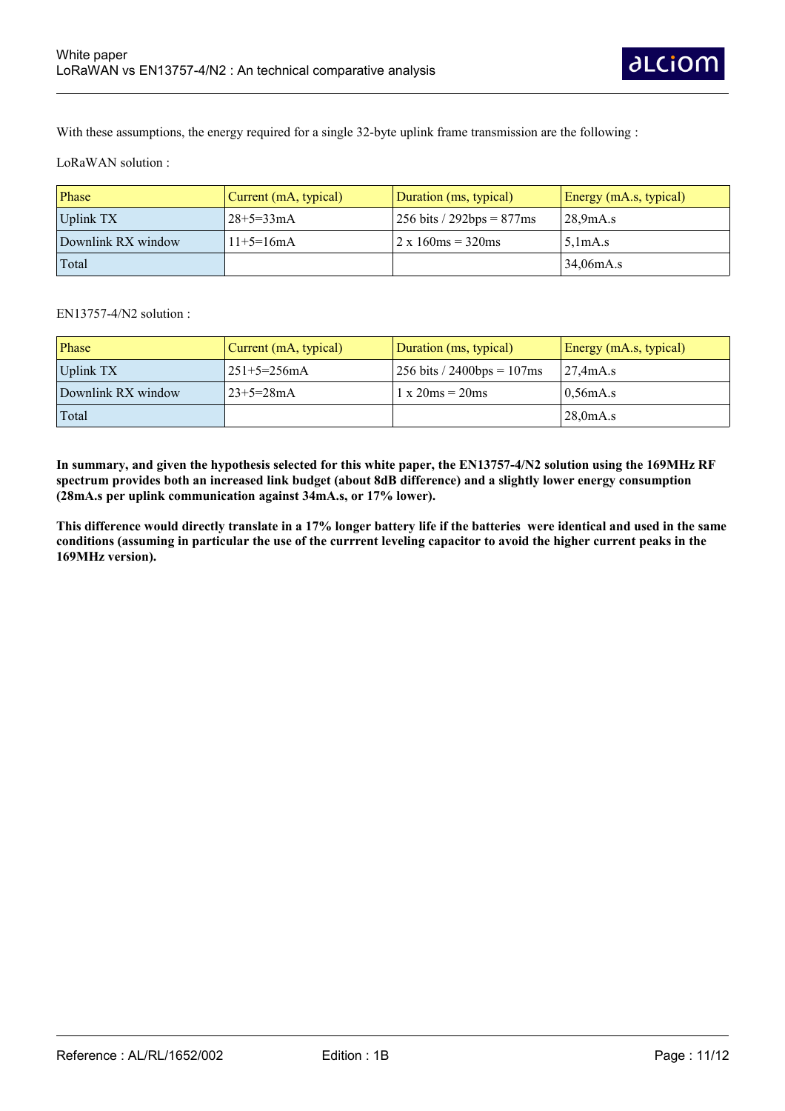With these assumptions, the energy required for a single 32-byte uplink frame transmission are the following :

LoRaWAN solution :

| Phase              | $\vert$ Current (mA, typical) | Duration (ms, typical)       | Energy (mA.s, typical) |
|--------------------|-------------------------------|------------------------------|------------------------|
| Uplink TX          | $128+5=33mA$                  | 256 bits / 292bps = $877$ ms | 28.9mA.s               |
| Downlink RX window | $11+5=16mA$                   | $2 \times 160$ ms = 320ms    | 5.1mA.s                |
| Total              |                               |                              | 34,06mA.s              |

EN13757-4/N2 solution :

| Phase              | Current (mA, typical) | Duration (ms, typical)                               | Energy (mA.s, typical) |
|--------------------|-----------------------|------------------------------------------------------|------------------------|
| Uplink TX          | 251+5=256mA           | $256 \text{ bits} / 2400 \text{bps} = 107 \text{ms}$ | $27.4 \text{mA.s}$     |
| Downlink RX window | $23+5=28mA$           | $1 \times 20$ ms = $20$ ms                           | 0.56mA.s               |
| Total              |                       |                                                      | 28.0 <sub>m</sub> A.s  |

**In summary, and given the hypothesis selected for this white paper, the EN13757-4/N2 solution using the 169MHz RF spectrum provides both an increased link budget (about 8dB difference) and a slightly lower energy consumption (28mA.s per uplink communication against 34mA.s, or 17% lower).** 

**This difference would directly translate in a 17% longer battery life if the batteries were identical and used in the same conditions (assuming in particular the use of the currrent leveling capacitor to avoid the higher current peaks in the 169MHz version).**